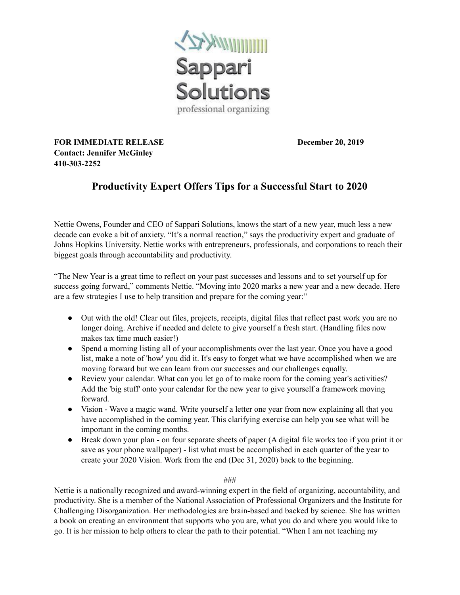

**FOR IMMEDIATE RELEASE December 20, 2019 Contact: Jennifer McGinley 410-303-2252**

## **Productivity Expert Offers Tips for a Successful Start to 2020**

Nettie Owens, Founder and CEO of Sappari Solutions, knows the start of a new year, much less a new decade can evoke a bit of anxiety. "It's a normal reaction," says the productivity expert and graduate of Johns Hopkins University. Nettie works with entrepreneurs, professionals, and corporations to reach their biggest goals through accountability and productivity.

"The New Year is a great time to reflect on your past successes and lessons and to set yourself up for success going forward," comments Nettie. "Moving into 2020 marks a new year and a new decade. Here are a few strategies I use to help transition and prepare for the coming year:"

- Out with the old! Clear out files, projects, receipts, digital files that reflect past work you are no longer doing. Archive if needed and delete to give yourself a fresh start. (Handling files now makes tax time much easier!)
- Spend a morning listing all of your accomplishments over the last year. Once you have a good list, make a note of 'how' you did it. It's easy to forget what we have accomplished when we are moving forward but we can learn from our successes and our challenges equally.
- Review your calendar. What can you let go of to make room for the coming year's activities? Add the 'big stuff' onto your calendar for the new year to give yourself a framework moving forward.
- Vision Wave a magic wand. Write yourself a letter one year from now explaining all that you have accomplished in the coming year. This clarifying exercise can help you see what will be important in the coming months.
- Break down your plan on four separate sheets of paper (A digital file works too if you print it or save as your phone wallpaper) - list what must be accomplished in each quarter of the year to create your 2020 Vision. Work from the end (Dec 31, 2020) back to the beginning.

###

Nettie is a nationally recognized and award-winning expert in the field of organizing, accountability, and productivity. She is a member of the National Association of Professional Organizers and the Institute for Challenging Disorganization. Her methodologies are brain-based and backed by science. She has written a book on creating an environment that supports who you are, what you do and where you would like to go. It is her mission to help others to clear the path to their potential. "When I am not teaching my